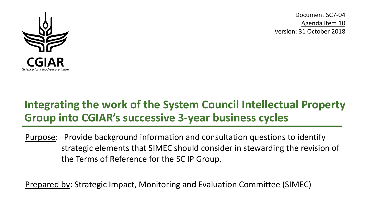

Document SC7-04 Agenda Item 10 Version: 31 October 2018

# **Integrating the work of the System Council Intellectual Property Group into CGIAR's successive 3-year business cycles**

Purpose: Provide background information and consultation questions to identify strategic elements that SIMEC should consider in stewarding the revision of the Terms of Reference for the SC IP Group.

Prepared by: Strategic Impact, Monitoring and Evaluation Committee (SIMEC)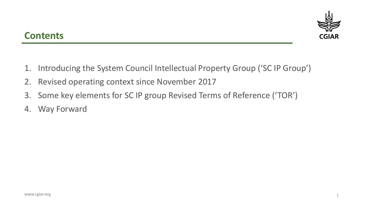

### **Contents**

- 1. Introducing the System Council Intellectual Property Group ('SC IP Group')
- 2. Revised operating context since November 2017
- 3. Some key elements for SC IP group Revised Terms of Reference ('TOR')
- 4. Way Forward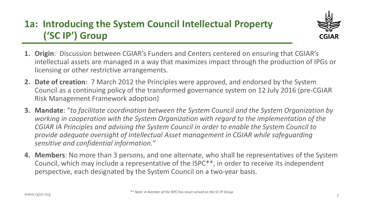# **1a: Introducing the System Council Intellectual Property ('SC IP') Group**



- **1. Origin**: Discussion between CGIAR's Funders and Centers centered on ensuring that CGIAR's intellectual assets are managed in a way that maximizes impact through the production of IPGs or licensing or other restrictive arrangements.
- **2. Date of creation**: 7 March 2012 the Principles were approved, and endorsed by the System Council as a continuing policy of the transformed governance system on 12 July 2016 (pre-CGIAR Risk Management Framework adoption)
- **3. Mandate**: "*to facilitate coordination between the System Council and the System Organization by working in cooperation with the System Organization with regard to the implementation of the CGIAR IA Principles and advising the System Council in order to enable the System Council to provide adequate oversight of Intellectual Asset management in CGIAR while safeguarding sensitive and confidential information."*
- **4. Members**: No more than 3 persons, and one alternate, who shall be representatives of the System Council, which may include a representative of the ISPC\*\*, in order to receive its independent perspective, each designated by the System Council on a two-year basis.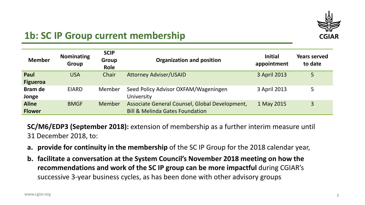

## **1b: SC IP Group current membership**

| <b>Member</b>                 | <b>Nominating</b><br><b>Group</b> | <b>SCIP</b><br>Group<br><b>Role</b> | <b>Organization and position</b>                                                             | <b>Initial</b><br>appointment | <b>Years served</b><br>to date |
|-------------------------------|-----------------------------------|-------------------------------------|----------------------------------------------------------------------------------------------|-------------------------------|--------------------------------|
| Paul<br><b>Figueroa</b>       | <b>USA</b>                        | Chair                               | <b>Attorney Adviser/USAID</b>                                                                | 3 April 2013                  | 5                              |
| <b>Bram de</b><br>Jonge       | <b>EIARD</b>                      | <b>Member</b>                       | Seed Policy Advisor OXFAM/Wageningen<br>University                                           | 3 April 2013                  | 5                              |
| <b>Aline</b><br><b>Flower</b> | <b>BMGF</b>                       | Member                              | Associate General Counsel, Global Development,<br><b>Bill &amp; Melinda Gates Foundation</b> | 1 May 2015                    | $\overline{3}$                 |

**SC/M6/EDP3 (September 2018):** extension of membership as a further interim measure until 31 December 2018, to:

- **a. provide for continuity in the membership** of the SC IP Group for the 2018 calendar year,
- **b. facilitate a conversation at the System Council's November 2018 meeting on how the recommendations and work of the SC IP group can be more impactful** during CGIAR's successive 3-year business cycles, as has been done with other advisory groups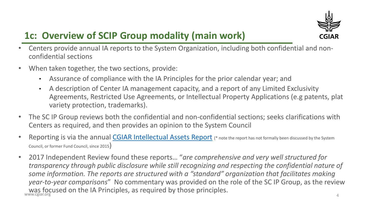

# **1c: Overview of SCIP Group modality (main work)**

- Centers provide annual IA reports to the System Organization, including both confidential and nonconfidential sections
- When taken together, the two sections, provide:
	- Assurance of compliance with the IA Principles for the prior calendar year; and
	- A description of Center IA management capacity, and a report of any Limited Exclusivity Agreements, Restricted Use Agreements, or Intellectual Property Applications (e.g patents, plat variety protection, trademarks).
- The SC IP Group reviews both the confidential and non-confidential sections; seeks clarifications with Centers as required, and then provides an opinion to the System Council
- Reporting is via the annual [CGIAR Intellectual Assets Report](https://www.cgiar.org/wp/wp-content/uploads/2018/10/CGIAR-2017-Intellectual-Assets-Report.pdf) (\* note the report has not formally been discussed by the System Council, or former Fund Council, since 2015)
- was focused on the IA Principles, as required by those principles. • 2017 Independent Review found these reports… "*are comprehensive and very well structured for transparency through public disclosure while still recognizing and respecting the confidential nature of some information. The reports are structured with a "standard" organization that facilitates making year-to-year comparisons*" No commentary was provided on the role of the SC IP Group, as the review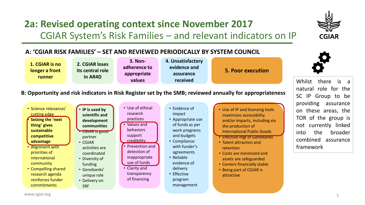## **2a: Revised operating context since November 2017** CGIAR System's Risk Families – and relevant indicators on IP



Whilst there is a natural role for the

SC IP Group to be

#### **A: 'CGIAR RISK FAMILIES' – SET AND REVIEWED PERIODICALLY BY SYSTEM COUNCIL**



#### **B: Opportunity and risk indicators in Risk Register set by the SMB; reviewed annually for appropriateness**

| • Science relevance/<br>cutting edge<br>Seizing the 'next<br>thing' gives<br>sustainable<br>competitive<br>advantage<br>• Alignment with<br>priorities of<br>international<br>community<br>• Compelling shared<br>research agenda<br>reinforces funder | • IP is used by<br>scientific and<br>development<br>communities<br><b>CGIAR is good</b><br>partner<br>$\cdot$ CGIAR<br>activities are<br>coordinated<br>• Diversity of<br>funding<br>• Genebanks'<br>unique role<br>• Delivery on | • Use of ethical<br>research<br>practices<br>Values and<br>behaviors<br>support<br>credibility<br>Prevention and<br>detection of<br>inappropriate<br>use of funds<br>• Clarity and<br>transparency<br>of financing | • Evidence of<br>impact<br>• Appropriate use<br>of funds as per<br>work programs<br>and budgets<br>• Compliance<br>with funder's<br>agreements<br>• Reliable<br>evidence of<br>delivery<br>• Effective<br>program | • Use of IP and licensing tools<br>maximizes accessibility<br>and/or impacts, including via<br>the production of<br><b>International Public Goods</b><br>• Effective mgt of Genebanks<br>• Talent attraction and<br>retention<br>• Costs are minimized and<br>assets are safeguarded<br>• Centers financially stable<br>• Being part of CGIAR is<br>attractive | providing<br>assurance<br>on these areas, the<br>TOR of the group is<br>linked<br>currently<br>not<br>the<br>into<br>broader<br>combined<br>assurance<br>framework |
|--------------------------------------------------------------------------------------------------------------------------------------------------------------------------------------------------------------------------------------------------------|-----------------------------------------------------------------------------------------------------------------------------------------------------------------------------------------------------------------------------------|--------------------------------------------------------------------------------------------------------------------------------------------------------------------------------------------------------------------|-------------------------------------------------------------------------------------------------------------------------------------------------------------------------------------------------------------------|----------------------------------------------------------------------------------------------------------------------------------------------------------------------------------------------------------------------------------------------------------------------------------------------------------------------------------------------------------------|--------------------------------------------------------------------------------------------------------------------------------------------------------------------|
|--------------------------------------------------------------------------------------------------------------------------------------------------------------------------------------------------------------------------------------------------------|-----------------------------------------------------------------------------------------------------------------------------------------------------------------------------------------------------------------------------------|--------------------------------------------------------------------------------------------------------------------------------------------------------------------------------------------------------------------|-------------------------------------------------------------------------------------------------------------------------------------------------------------------------------------------------------------------|----------------------------------------------------------------------------------------------------------------------------------------------------------------------------------------------------------------------------------------------------------------------------------------------------------------------------------------------------------------|--------------------------------------------------------------------------------------------------------------------------------------------------------------------|

management

commitments

SRF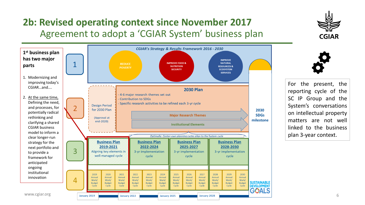## **2b: Revised operating context since November 2017** Agreement to adopt a 'CGIAR System' business plan



For the present, the reporting cycle of the SC IP Group and the System's conversations on intellectual property matters are not well linked to the business plan 3-year context.

**CGIAR**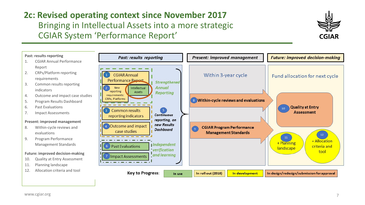## **2c: Revised operating context since November 2017** Bringing in Intellectual Assets into a more strategic CGIAR System 'Performance Report'



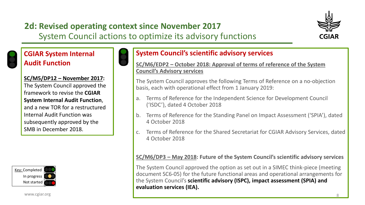### **2d: Revised operating context since November 2017**  System Council actions to optimize its advisory functions



### **CGIAR System Internal Audit Function**



#### **SC/M5/DP12 – November 2017:**

The System Council approved the framework to revise the **CGIAR System Internal Audit Function**, and a new TOR for a restructured Internal Audit Function was subsequently approved by the SMB in December 2018.



www.cgiar.org

### **System Council's scientific advisory services**

**SC/M6/EDP2 – October 2018: Approval of terms of reference of the System Council's Advisory services**

The System Council approves the following Terms of Reference on a no-objection basis, each with operational effect from 1 January 2019:

- a. Terms of Reference for the Independent Science for Development Council ('ISDC'), dated 4 October 2018
- b. Terms of Reference for the Standing Panel on Impact Assessment ('SPIA'), dated 4 October 2018
- c. Terms of Reference for the Shared Secretariat for CGIAR Advisory Services, dated 4 October 2018

#### **SC/M6/DP3 – May 2018: Future of the System Council's scientific advisory services**

The System Council approved the option as set out in a SIMEC think-piece (meeting document SC6-05) for the future functional areas and operational arrangements for the System Council's **scientific advisory (ISPC), impact assessment (SPIA) and evaluation services (IEA).**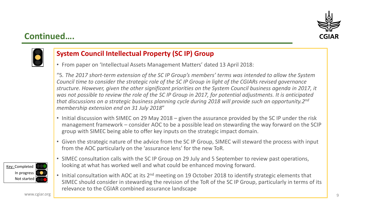

### **Continued….**



### **System Council Intellectual Property (SC IP) Group**

• From paper on 'Intellectual Assets Management Matters' dated 13 April 2018:

"5*. The 2017 short-term extension of the SC IP Group's members' terms was intended to allow the System Council time to consider the strategic role of the SC IP Group in light of the CGIARs revised governance structure. However, given the other significant priorities on the System Council business agenda in 2017, it was not possible to review the role of the SC IP Group in 2017, for potential adjustments. It is anticipated that discussions on a strategic business planning cycle during 2018 will provide such an opportunity.2nd membership extension end on 31 July 2018*"

- Initial discussion with SIMEC on 29 May 2018 given the assurance provided by the SC IP under the risk management framework – consider AOC to be a possible lead on stewarding the way forward on the SCIP group with SIMEC being able to offer key inputs on the strategic impact domain.
- Given the strategic nature of the advice from the SC IP Group, SIMEC will steward the process with input from the AOC particularly on the 'assurance lens' for the new ToR.
- SIMEC consultation calls with the SC IP Group on 29 July and 5 September to review past operations, looking at what has worked well and what could be enhanced moving forward.
- Initial consultation with AOC at its 2<sup>nd</sup> meeting on 19 October 2018 to identify strategic elements that SIMEC should consider in stewarding the revision of the ToR of the SC IP Group, particularly in terms of its relevance to the CGIAR combined assurance landscape

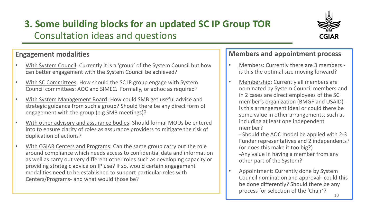# **3. Some building blocks for an updated SC IP Group TOR** Consultation ideas and questions



### **Engagement modalities**

- With System Council: Currently it is a 'group' of the System Council but how can better engagement with the System Council be achieved?
- With SC Committees: How should the SC IP group engage with System Council committees: AOC and SIMEC. Formally, or adhoc as required?
- With System Management Board: How could SMB get useful advice and strategic guidance from such a group? Should there be any direct form of engagement with the group (e.g SMB meetings)?
- With other advisory and assurance bodies: Should formal MOUs be entered into to ensure clarity of roles as assurance providers to mitigate the risk of duplication of actions?
- With CGIAR Centers and Programs: Can the same group carry out the role around compliance which needs access to confidential data and information as well as carry out very different other roles such as developing capacity or providing strategic advice on IP use? If so, would certain engagement modalities need to be established to support particular roles with Centers/Programs- and what would those be?

### **Members and appointment process**

- Members: Currently there are 3 members is this the optimal size moving forward?
- Membership: Currently all members are nominated by System Council members and in 2 cases are direct employees of the SC member's organization (BMGF and USAID) is this arrangement ideal or could there be some value in other arrangements, such as including at least one independent member?
	- Should the AOC model be applied with 2-3 Funder representatives and 2 independents? (or does this make it too big?) -Any value in having a member from any other part of the System?
- Appointment: Currently done by System Council nomination and approval- could this be done differently? Should there be any process for selection of the 'Chair'?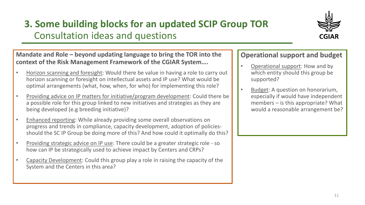# **3. Some building blocks for an updated SCIP Group TOR** Consultation ideas and questions



### **Mandate and Role – beyond updating language to bring the TOR into the context of the Risk Management Framework of the CGIAR System….**

- Horizon scanning and foresight: Would there be value in having a role to carry out horizon scanning or foresight on intellectual assets and IP use? What would be optimal arrangements (what, how, when, for who) for implementing this role?
- Providing advice on IP matters for initiative/program development: Could there be a possible role for this group linked to new initiatives and strategies as they are being developed (e.g breeding initiative)?
- Enhanced reporting: While already providing some overall observations on progress and trends in compliance, capacity development, adoption of policiesshould the SC IP Group be doing more of this? And how could it optimally do this?
- Providing strategic advice on IP use: There could be a greater strategic role so how can IP be strategically used to achieve impact by Centers and CRPs?
- Capacity Development: Could this group play a role in raising the capacity of the System and the Centers in this area?

### **Operational support and budget**

- Operational support: How and by which entity should this group be supported?
- Budget: A question on honorarium, especially if would have independent members – is this appropriate? What would a reasonable arrangement be?